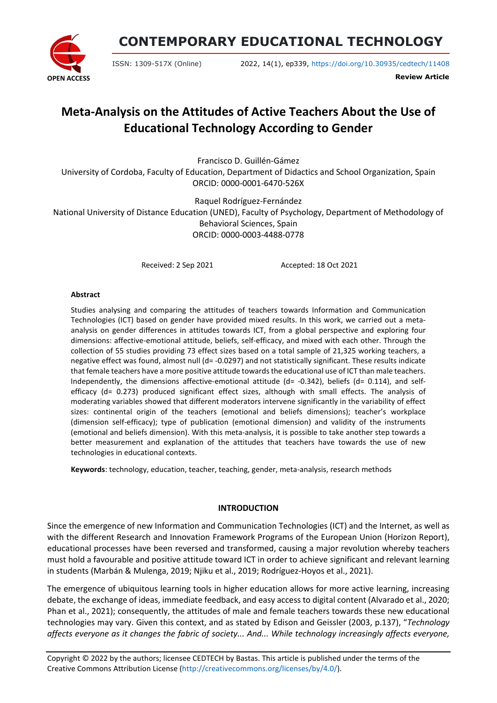

**CONTEMPORARY EDUCATIONAL TECHNOLOGY**

ISSN: 1309-517X (Online) 2022, 14(1), ep339, <https://doi.org/10.30935/cedtech/11408>

**Review Article**

# **Meta-Analysis on the Attitudes of Active Teachers About the Use of Educational Technology According to Gender**

Francisco D. Guillén-Gámez

University of Cordoba, Faculty of Education, Department of Didactics and School Organization, Spain ORCID: 0000-0001-6470-526X

Raquel Rodríguez-Fernández

National University of Distance Education (UNED), Faculty of Psychology, Department of Methodology of Behavioral Sciences, Spain ORCID: 0000-0003-4488-0778

Received: 2 Sep 2021 Accepted: 18 Oct 2021

#### **Abstract**

Studies analysing and comparing the attitudes of teachers towards Information and Communication Technologies (ICT) based on gender have provided mixed results. In this work, we carried out a metaanalysis on gender differences in attitudes towards ICT, from a global perspective and exploring four dimensions: affective-emotional attitude, beliefs, self-efficacy, and mixed with each other. Through the collection of 55 studies providing 73 effect sizes based on a total sample of 21,325 working teachers, a negative effect was found, almost null (d= -0.0297) and not statistically significant. These results indicate that female teachers have a more positive attitude towards the educational use of ICT than male teachers. Independently, the dimensions affective-emotional attitude  $(d= -0.342)$ , beliefs  $(d= 0.114)$ , and selfefficacy (d= 0.273) produced significant effect sizes, although with small effects. The analysis of moderating variables showed that different moderators intervene significantly in the variability of effect sizes: continental origin of the teachers (emotional and beliefs dimensions); teacher's workplace (dimension self-efficacy); type of publication (emotional dimension) and validity of the instruments (emotional and beliefs dimension). With this meta-analysis, it is possible to take another step towards a better measurement and explanation of the attitudes that teachers have towards the use of new technologies in educational contexts.

**Keywords**: technology, education, teacher, teaching, gender, meta-analysis, research methods

# **INTRODUCTION**

Since the emergence of new Information and Communication Technologies (ICT) and the Internet, as well as with the different Research and Innovation Framework Programs of the European Union (Horizon Report), educational processes have been reversed and transformed, causing a major revolution whereby teachers must hold a favourable and positive attitude toward ICT in order to achieve significant and relevant learning in students (Marbán & Mulenga, 2019; Njiku et al., 2019; Rodríguez-Hoyos et al., 2021).

The emergence of ubiquitous learning tools in higher education allows for more active learning, increasing debate, the exchange of ideas, immediate feedback, and easy access to digital content (Alvarado et al., 2020; Phan et al., 2021); consequently, the attitudes of male and female teachers towards these new educational technologies may vary. Given this context, and as stated by Edison and Geissler (2003, p.137), "*Technology affects everyone as it changes the fabric of society... And... While technology increasingly affects everyone,*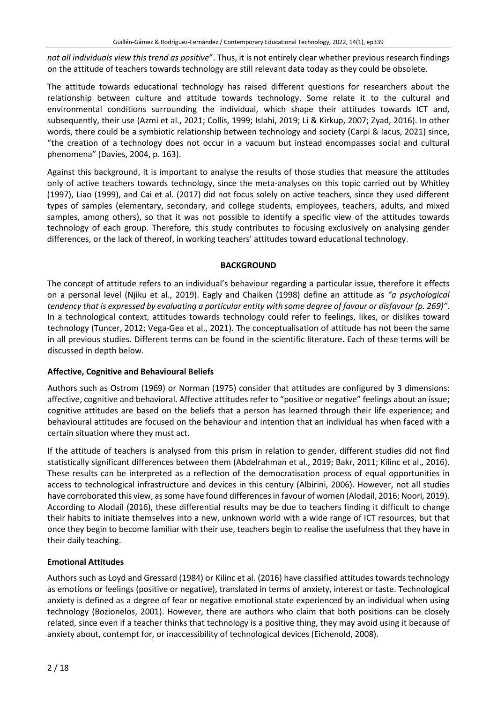*not all individuals view this trend as positive*". Thus, it is not entirely clear whether previous research findings on the attitude of teachers towards technology are still relevant data today as they could be obsolete.

The attitude towards educational technology has raised different questions for researchers about the relationship between culture and attitude towards technology. Some relate it to the cultural and environmental conditions surrounding the individual, which shape their attitudes towards ICT and, subsequently, their use (Azmi et al., 2021; Collis, 1999; Islahi, 2019; Li & Kirkup, 2007; Zyad, 2016). In other words, there could be a symbiotic relationship between technology and society (Carpi & Iacus, 2021) since, "the creation of a technology does not occur in a vacuum but instead encompasses social and cultural phenomena" (Davies, 2004, p. 163).

Against this background, it is important to analyse the results of those studies that measure the attitudes only of active teachers towards technology, since the meta-analyses on this topic carried out by Whitley (1997), Liao (1999), and Cai et al. (2017) did not focus solely on active teachers, since they used different types of samples (elementary, secondary, and college students, employees, teachers, adults, and mixed samples, among others), so that it was not possible to identify a specific view of the attitudes towards technology of each group. Therefore, this study contributes to focusing exclusively on analysing gender differences, or the lack of thereof, in working teachers' attitudes toward educational technology.

# **BACKGROUND**

The concept of attitude refers to an individual's behaviour regarding a particular issue, therefore it effects on a personal level (Njiku et al., 2019). Eagly and Chaiken (1998) define an attitude as *"a psychological* tendency that is expressed by evaluating a particular entity with some degree of favour or disfavour (p. 269)". In a technological context, attitudes towards technology could refer to feelings, likes, or dislikes toward technology (Tuncer, 2012; Vega-Gea et al., 2021). The conceptualisation of attitude has not been the same in all previous studies. Different terms can be found in the scientific literature. Each of these terms will be discussed in depth below.

# **Affective, Cognitive and Behavioural Beliefs**

Authors such as Ostrom (1969) or Norman (1975) consider that attitudes are configured by 3 dimensions: affective, cognitive and behavioral. Affective attitudes refer to "positive or negative" feelings about an issue; cognitive attitudes are based on the beliefs that a person has learned through their life experience; and behavioural attitudes are focused on the behaviour and intention that an individual has when faced with a certain situation where they must act.

If the attitude of teachers is analysed from this prism in relation to gender, different studies did not find statistically significant differences between them (Abdelrahman et al., 2019; Bakr, 2011; Kilinc et al., 2016). These results can be interpreted as a reflection of the democratisation process of equal opportunities in access to technological infrastructure and devices in this century (Albirini, 2006). However, not all studies have corroborated this view, as some have found differences in favour of women (Alodail, 2016; Noori, 2019). According to Alodail (2016), these differential results may be due to teachers finding it difficult to change their habits to initiate themselves into a new, unknown world with a wide range of ICT resources, but that once they begin to become familiar with their use, teachers begin to realise the usefulness that they have in their daily teaching.

# **Emotional Attitudes**

Authors such as Loyd and Gressard (1984) or Kilinc et al. (2016) have classified attitudes towards technology as emotions or feelings (positive or negative), translated in terms of anxiety, interest or taste. Technological anxiety is defined as a degree of fear or negative emotional state experienced by an individual when using technology (Bozionelos, 2001). However, there are authors who claim that both positions can be closely related, since even if a teacher thinks that technology is a positive thing, they may avoid using it because of anxiety about, contempt for, or inaccessibility of technological devices (Eichenold, 2008).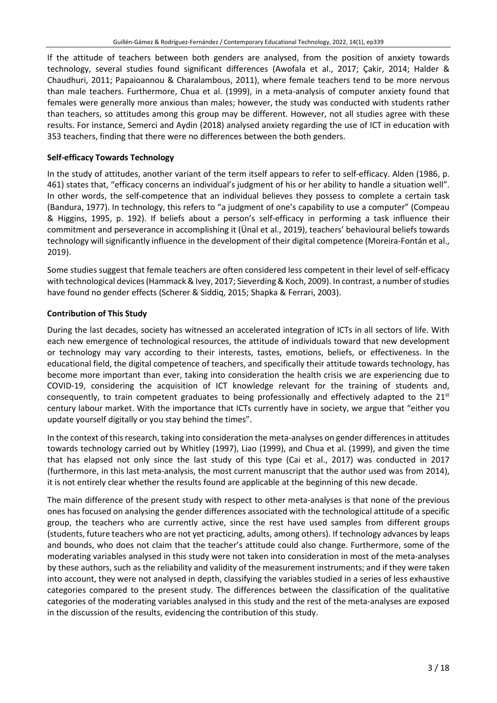If the attitude of teachers between both genders are analysed, from the position of anxiety towards technology, several studies found significant differences (Awofala et al., 2017; Çakir, 2014; Halder & Chaudhuri, 2011; Papaioannou & Charalambous, 2011), where female teachers tend to be more nervous than male teachers. Furthermore, Chua et al. (1999), in a meta-analysis of computer anxiety found that females were generally more anxious than males; however, the study was conducted with students rather than teachers, so attitudes among this group may be different. However, not all studies agree with these results. For instance, Semerci and Aydin (2018) analysed anxiety regarding the use of ICT in education with 353 teachers, finding that there were no differences between the both genders.

## **Self-efficacy Towards Technology**

In the study of attitudes, another variant of the term itself appears to refer to self-efficacy. Alden (1986, p. 461) states that, "efficacy concerns an individual's judgment of his or her ability to handle a situation well". In other words, the self-competence that an individual believes they possess to complete a certain task (Bandura, 1977). In technology, this refers to "a judgment of one's capability to use a computer" (Compeau & Higgins, 1995, p. 192). If beliefs about a person's self-efficacy in performing a task influence their commitment and perseverance in accomplishing it (Ünal et al., 2019), teachers' behavioural beliefs towards technology will significantly influence in the development of their digital competence (Moreira-Fontán et al., 2019).

Some studies suggest that female teachers are often considered less competent in their level of self-efficacy with technological devices (Hammack & Ivey, 2017; Sieverding & Koch, 2009). In contrast, a number of studies have found no gender effects (Scherer & Siddiq, 2015; Shapka & Ferrari, 2003).

# **Contribution of This Study**

During the last decades, society has witnessed an accelerated integration of ICTs in all sectors of life. With each new emergence of technological resources, the attitude of individuals toward that new development or technology may vary according to their interests, tastes, emotions, beliefs, or effectiveness. In the educational field, the digital competence of teachers, and specifically their attitude towards technology, has become more important than ever, taking into consideration the health crisis we are experiencing due to COVID-19, considering the acquisition of ICT knowledge relevant for the training of students and, consequently, to train competent graduates to being professionally and effectively adapted to the  $21<sup>st</sup>$ century labour market. With the importance that ICTs currently have in society, we argue that "either you update yourself digitally or you stay behind the times".

In the context of thisresearch, taking into consideration the meta-analyses on gender differencesin attitudes towards technology carried out by Whitley (1997), Liao (1999), and Chua et al. (1999), and given the time that has elapsed not only since the last study of this type (Cai et al., 2017) was conducted in 2017 (furthermore, in this last meta-analysis, the most current manuscript that the author used was from 2014), it is not entirely clear whether the results found are applicable at the beginning of this new decade.

The main difference of the present study with respect to other meta-analyses is that none of the previous ones has focused on analysing the gender differences associated with the technological attitude of a specific group, the teachers who are currently active, since the rest have used samples from different groups (students, future teachers who are not yet practicing, adults, among others). If technology advances by leaps and bounds, who does not claim that the teacher's attitude could also change. Furthermore, some of the moderating variables analysed in this study were not taken into consideration in most of the meta-analyses by these authors, such as the reliability and validity of the measurement instruments; and if they were taken into account, they were not analysed in depth, classifying the variables studied in a series of less exhaustive categories compared to the present study. The differences between the classification of the qualitative categories of the moderating variables analysed in this study and the rest of the meta-analyses are exposed in the discussion of the results, evidencing the contribution of this study.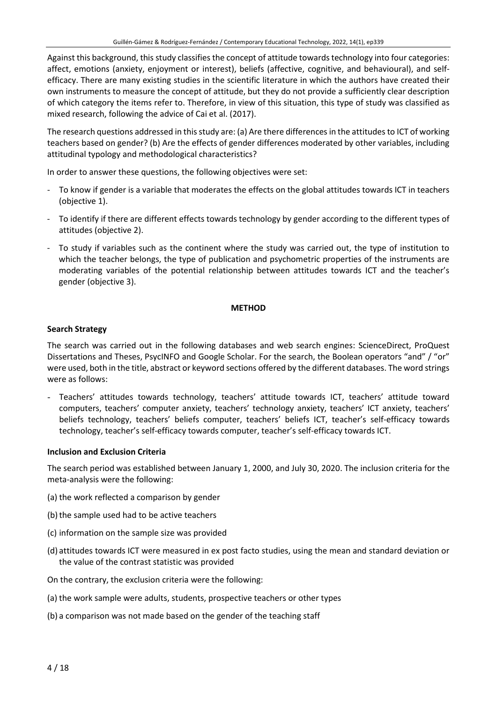Against this background, this study classifies the concept of attitude towards technology into four categories: affect, emotions (anxiety, enjoyment or interest), beliefs (affective, cognitive, and behavioural), and selfefficacy. There are many existing studies in the scientific literature in which the authors have created their own instruments to measure the concept of attitude, but they do not provide a sufficiently clear description of which category the items refer to. Therefore, in view of this situation, this type of study was classified as mixed research, following the advice of Cai et al. (2017).

The research questions addressed in this study are: (a) Are there differences in the attitudes to ICT of working teachers based on gender? (b) Are the effects of gender differences moderated by other variables, including attitudinal typology and methodological characteristics?

In order to answer these questions, the following objectives were set:

- To know if gender is a variable that moderates the effects on the global attitudes towards ICT in teachers (objective 1).
- To identify if there are different effects towards technology by gender according to the different types of attitudes (objective 2).
- To study if variables such as the continent where the study was carried out, the type of institution to which the teacher belongs, the type of publication and psychometric properties of the instruments are moderating variables of the potential relationship between attitudes towards ICT and the teacher's gender (objective 3).

#### **METHOD**

#### **Search Strategy**

The search was carried out in the following databases and web search engines: ScienceDirect, ProQuest Dissertations and Theses, PsycINFO and Google Scholar. For the search, the Boolean operators "and" / "or" were used, both in the title, abstract or keyword sections offered by the different databases. The word strings were as follows:

- Teachers' attitudes towards technology, teachers' attitude towards ICT, teachers' attitude toward computers, teachers' computer anxiety, teachers' technology anxiety, teachers' ICT anxiety, teachers' beliefs technology, teachers' beliefs computer, teachers' beliefs ICT, teacher's self-efficacy towards technology, teacher's self-efficacy towards computer, teacher's self-efficacy towards ICT.

#### **Inclusion and Exclusion Criteria**

The search period was established between January 1, 2000, and July 30, 2020. The inclusion criteria for the meta-analysis were the following:

- (a) the work reflected a comparison by gender
- (b) the sample used had to be active teachers
- (c) information on the sample size was provided
- (d) attitudes towards ICT were measured in ex post facto studies, using the mean and standard deviation or the value of the contrast statistic was provided
- On the contrary, the exclusion criteria were the following:
- (a) the work sample were adults, students, prospective teachers or other types
- (b) a comparison was not made based on the gender of the teaching staff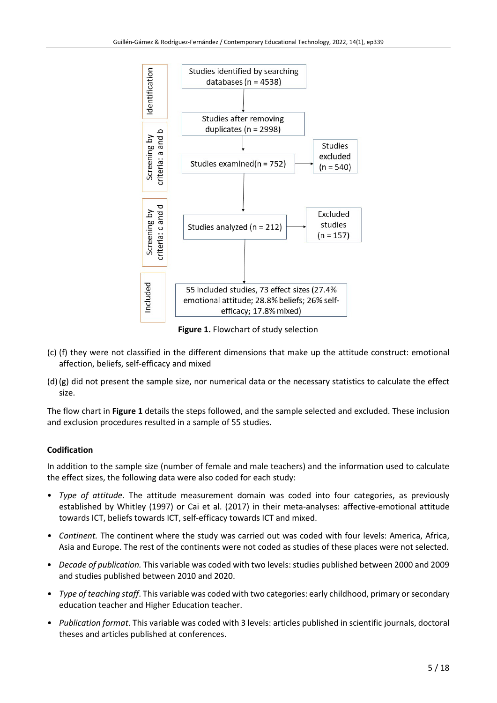

**Figure 1.** Flowchart of study selection

- (c) (f) they were not classified in the different dimensions that make up the attitude construct: emotional affection, beliefs, self-efficacy and mixed
- (d) (g) did not present the sample size, nor numerical data or the necessary statistics to calculate the effect size.

The flow chart in **Figure 1** details the steps followed, and the sample selected and excluded. These inclusion and exclusion procedures resulted in a sample of 55 studies.

# **Codification**

In addition to the sample size (number of female and male teachers) and the information used to calculate the effect sizes, the following data were also coded for each study:

- *Type of attitude.* The attitude measurement domain was coded into four categories, as previously established by Whitley (1997) or Cai et al. (2017) in their meta-analyses: affective-emotional attitude towards ICT, beliefs towards ICT, self-efficacy towards ICT and mixed.
- *Continent.* The continent where the study was carried out was coded with four levels: America, Africa, Asia and Europe. The rest of the continents were not coded as studies of these places were not selected.
- *Decade of publication.* This variable was coded with two levels:studies published between 2000 and 2009 and studies published between 2010 and 2020.
- *Type of teaching staff*. This variable was coded with two categories: early childhood, primary orsecondary education teacher and Higher Education teacher.
- *Publication format*. This variable was coded with 3 levels: articles published in scientific journals, doctoral theses and articles published at conferences.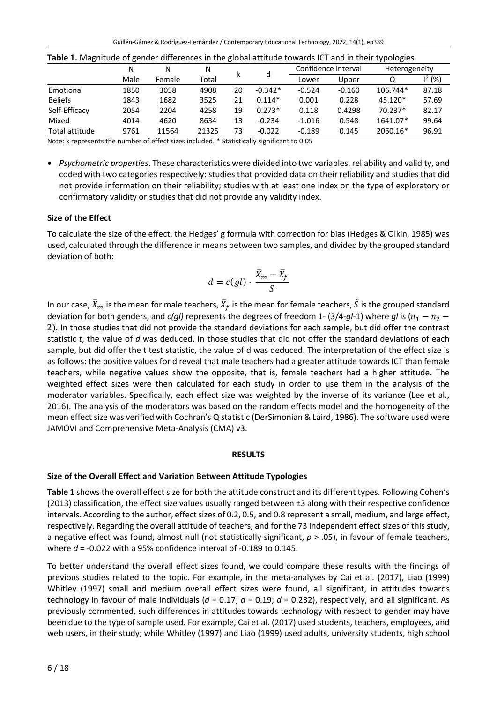| <b>Table 1.</b> Ividgiffuud of genuer untereffect in the grobal attitude towards it I and in their typologies |        |        |       |    |           |          |                     |               |           |  |  |
|---------------------------------------------------------------------------------------------------------------|--------|--------|-------|----|-----------|----------|---------------------|---------------|-----------|--|--|
|                                                                                                               | Ν<br>N |        | N     |    |           |          | Confidence interval | Heterogeneity |           |  |  |
|                                                                                                               | Male   | Female | Total | ĸ  | d         | Lower    | Upper               | Q             | $1^2$ (%) |  |  |
| Emotional                                                                                                     | 1850   | 3058   | 4908  | 20 | $-0.342*$ | $-0.524$ | $-0.160$            | 106.744*      | 87.18     |  |  |
| <b>Beliefs</b>                                                                                                | 1843   | 1682   | 3525  | 21 | $0.114*$  | 0.001    | 0.228               | 45.120*       | 57.69     |  |  |
| Self-Efficacy                                                                                                 | 2054   | 2204   | 4258  | 19 | $0.273*$  | 0.118    | 0.4298              | $70.237*$     | 82.17     |  |  |
| Mixed                                                                                                         | 4014   | 4620   | 8634  | 13 | $-0.234$  | $-1.016$ | 0.548               | 1641.07*      | 99.64     |  |  |
| Total attitude                                                                                                | 9761   | 11564  | 21325 | 73 | $-0.022$  | $-0.189$ | 0.145               | 2060.16*      | 96.91     |  |  |

Note: k represents the number of effect sizes included. \* Statistically significant to 0.05

• *Psychometric properties*. These characteristics were divided into two variables, reliability and validity, and coded with two categories respectively: studies that provided data on their reliability and studies that did not provide information on their reliability; studies with at least one index on the type of exploratory or confirmatory validity or studies that did not provide any validity index.

## **Size of the Effect**

To calculate the size of the effect, the Hedges' g formula with correction for bias (Hedges & Olkin, 1985) was used, calculated through the difference in means between two samples, and divided by the grouped standard deviation of both:

$$
d = c(gl) \cdot \frac{\bar{X}_m - \bar{X}_f}{\tilde{S}}
$$

In our case,  $X_m$  is the mean for male teachers,  $X_f$  is the mean for female teachers,  $\tilde{S}$  is the grouped standard deviation for both genders, and *c(gl)* represents the degrees of freedom 1- (3/4-*gl*-1) where *gl* is ( $n_1 - n_2 -$ 2). In those studies that did not provide the standard deviations for each sample, but did offer the contrast statistic *t*, the value of *d* was deduced. In those studies that did not offer the standard deviations of each sample, but did offer the t test statistic, the value of d was deduced. The interpretation of the effect size is as follows: the positive values for d reveal that male teachers had a greater attitude towards ICT than female teachers, while negative values show the opposite, that is, female teachers had a higher attitude. The weighted effect sizes were then calculated for each study in order to use them in the analysis of the moderator variables. Specifically, each effect size was weighted by the inverse of its variance (Lee et al., 2016). The analysis of the moderators was based on the random effects model and the homogeneity of the mean effect size was verified with Cochran's Q statistic (DerSimonian & Laird, 1986). The software used were JAMOVI and Comprehensive Meta-Analysis (CMA) v3.

#### **RESULTS**

### **Size of the Overall Effect and Variation Between Attitude Typologies**

Table 1 shows the overall effect size for both the attitude construct and its different types. Following Cohen's (2013) classification, the effect size values usually ranged between ±3 along with their respective confidence intervals. According to the author, effect sizes of 0.2, 0.5, and 0.8 represent a small, medium, and large effect, respectively. Regarding the overall attitude of teachers, and for the 73 independent effect sizes of this study, a negative effect was found, almost null (not statistically significant, *p* > .05), in favour of female teachers, where *d* = -0.022 with a 95% confidence interval of -0.189 to 0.145.

To better understand the overall effect sizes found, we could compare these results with the findings of previous studies related to the topic. For example, in the meta-analyses by Cai et al. (2017), Liao (1999) Whitley (1997) small and medium overall effect sizes were found, all significant, in attitudes towards technology in favour of male individuals (*d* = 0.17; *d* = 0.19; *d* = 0.232), respectively, and all significant. As previously commented, such differences in attitudes towards technology with respect to gender may have been due to the type of sample used. For example, Cai et al. (2017) used students, teachers, employees, and web users, in their study; while Whitley (1997) and Liao (1999) used adults, university students, high school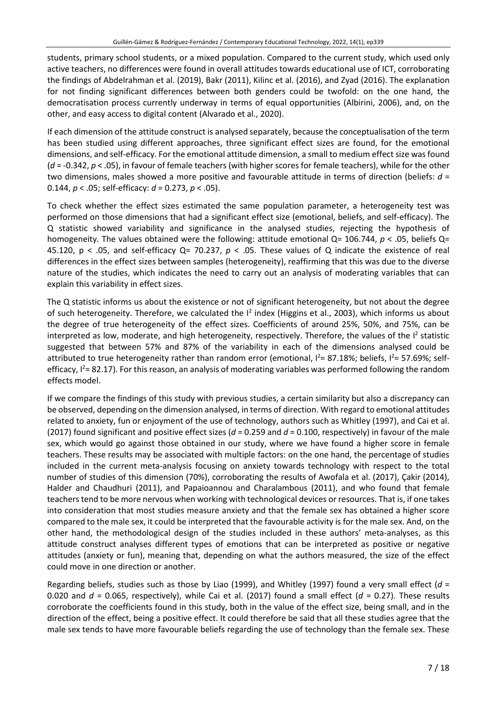students, primary school students, or a mixed population. Compared to the current study, which used only active teachers, no differences were found in overall attitudes towards educational use of ICT, corroborating the findings of Abdelrahman et al. (2019), Bakr (2011), Kilinc et al. (2016), and Zyad (2016). The explanation for not finding significant differences between both genders could be twofold: on the one hand, the democratisation process currently underway in terms of equal opportunities (Albirini, 2006), and, on the other, and easy access to digital content (Alvarado et al., 2020).

If each dimension of the attitude construct is analysed separately, because the conceptualisation of the term has been studied using different approaches, three significant effect sizes are found, for the emotional dimensions, and self-efficacy. For the emotional attitude dimension, a small to medium effect size was found (*d* = -0.342, *p* < .05), in favour of female teachers (with higher scores for female teachers), while for the other two dimensions, males showed a more positive and favourable attitude in terms of direction (beliefs: *d* = 0.144, *p* < .05; self-efficacy: *d* = 0.273, *p* < .05).

To check whether the effect sizes estimated the same population parameter, a heterogeneity test was performed on those dimensions that had a significant effect size (emotional, beliefs, and self-efficacy). The Q statistic showed variability and significance in the analysed studies, rejecting the hypothesis of homogeneity. The values obtained were the following: attitude emotional Q= 106.744, *p* < .05, beliefs Q= 45.120,  $p < .05$ , and self-efficacy Q= 70.237,  $p < .05$ . These values of Q indicate the existence of real differences in the effect sizes between samples (heterogeneity), reaffirming that this was due to the diverse nature of the studies, which indicates the need to carry out an analysis of moderating variables that can explain this variability in effect sizes.

The Q statistic informs us about the existence or not of significant heterogeneity, but not about the degree of such heterogeneity. Therefore, we calculated the <sup>12</sup> index (Higgins et al., 2003), which informs us about the degree of true heterogeneity of the effect sizes. Coefficients of around 25%, 50%, and 75%, can be interpreted as low, moderate, and high heterogeneity, respectively. Therefore, the values of the  $I^2$  statistic suggested that between 57% and 87% of the variability in each of the dimensions analysed could be attributed to true heterogeneity rather than random error (emotional,  $I^2$ = 87.18%; beliefs,  $I^2$ = 57.69%; selfefficacy,  $I^2$ = 82.17). For this reason, an analysis of moderating variables was performed following the random effects model.

If we compare the findings of this study with previous studies, a certain similarity but also a discrepancy can be observed, depending on the dimension analysed, in terms of direction. With regard to emotional attitudes related to anxiety, fun or enjoyment of the use of technology, authors such as Whitley (1997), and Cai et al. (2017) found significant and positive effect sizes (*d* = 0.259 and *d* = 0.100, respectively) in favour of the male sex, which would go against those obtained in our study, where we have found a higher score in female teachers. These results may be associated with multiple factors: on the one hand, the percentage of studies included in the current meta-analysis focusing on anxiety towards technology with respect to the total number of studies of this dimension (70%), corroborating the results of Awofala et al. (2017), Çakir (2014), Halder and Chaudhuri (2011), and Papaioannou and Charalambous (2011), and who found that female teachers tend to be more nervous when working with technological devices or resources. That is, if one takes into consideration that most studies measure anxiety and that the female sex has obtained a higher score compared to the male sex, it could be interpreted that the favourable activity is for the male sex. And, on the other hand, the methodological design of the studies included in these authors' meta-analyses, as this attitude construct analyses different types of emotions that can be interpreted as positive or negative attitudes (anxiety or fun), meaning that, depending on what the authors measured, the size of the effect could move in one direction or another.

Regarding beliefs, studies such as those by Liao (1999), and Whitley (1997) found a very small effect (*d* = 0.020 and *d* = 0.065, respectively), while Cai et al. (2017) found a small effect (*d* = 0.27). These results corroborate the coefficients found in this study, both in the value of the effect size, being small, and in the direction of the effect, being a positive effect. It could therefore be said that all these studies agree that the male sex tends to have more favourable beliefs regarding the use of technology than the female sex. These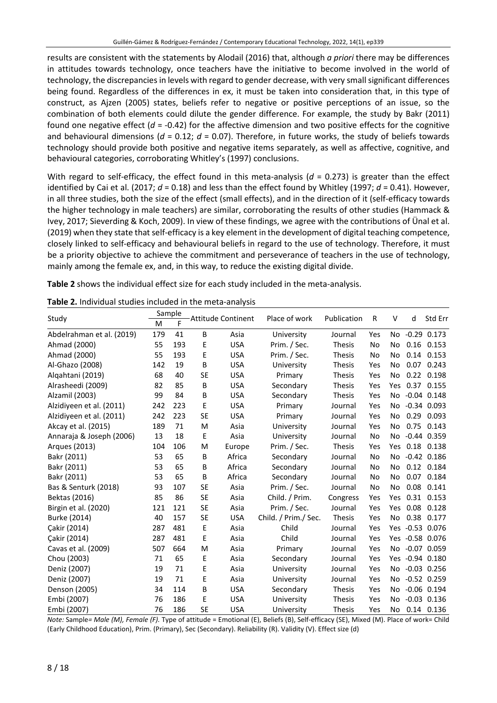results are consistent with the statements by Alodail (2016) that, although *a priori* there may be differences in attitudes towards technology, once teachers have the initiative to become involved in the world of technology, the discrepancies in levels with regard to gender decrease, with very small significant differences being found. Regardless of the differences in ex, it must be taken into consideration that, in this type of construct, as Ajzen (2005) states, beliefs refer to negative or positive perceptions of an issue, so the combination of both elements could dilute the gender difference. For example, the study by Bakr (2011) found one negative effect (*d* = -0.42) for the affective dimension and two positive effects for the cognitive and behavioural dimensions (*d* = 0.12; *d* = 0.07). Therefore, in future works, the study of beliefs towards technology should provide both positive and negative items separately, as well as affective, cognitive, and behavioural categories, corroborating Whitley's (1997) conclusions.

With regard to self-efficacy, the effect found in this meta-analysis ( $d = 0.273$ ) is greater than the effect identified by Cai et al. (2017; *d* = 0.18) and less than the effect found by Whitley (1997; *d* = 0.41). However, in all three studies, both the size of the effect (small effects), and in the direction of it (self-efficacy towards the higher technology in male teachers) are similar, corroborating the results of other studies (Hammack & Ivey, 2017; Sieverding & Koch, 2009). In view of these findings, we agree with the contributions of Ünal et al. (2019) when they state that self-efficacy is a key element in the development of digital teaching competence, closely linked to self-efficacy and behavioural beliefs in regard to the use of technology. Therefore, it must be a priority objective to achieve the commitment and perseverance of teachers in the use of technology, mainly among the female ex, and, in this way, to reduce the existing digital divide.

**Table 2** shows the individual effect size for each study included in the meta-analysis.

| Study                     | Sample<br><b>Attitude Continent</b> |     |           |            | Place of work        | Publication   | R   | V              | d    | Std Err         |
|---------------------------|-------------------------------------|-----|-----------|------------|----------------------|---------------|-----|----------------|------|-----------------|
|                           | M                                   | F   |           |            |                      |               |     |                |      |                 |
| Abdelrahman et al. (2019) | 179                                 | 41  | B         | Asia       | University           | Journal       | Yes | No.            |      | $-0.29$ 0.173   |
| Ahmad (2000)              | 55                                  | 193 | E         | <b>USA</b> | Prim. / Sec.         | <b>Thesis</b> | No  | No             | 0.16 | 0.153           |
| Ahmad (2000)              | 55                                  | 193 | E         | <b>USA</b> | Prim. / Sec.         | <b>Thesis</b> | No  | No             | 0.14 | 0.153           |
| Al-Ghazo (2008)           | 142                                 | 19  | B         | <b>USA</b> | University           | <b>Thesis</b> | Yes | No             | 0.07 | 0.243           |
| Algahtani (2019)          | 68                                  | 40  | <b>SE</b> | <b>USA</b> | Primary              | <b>Thesis</b> | Yes | No             | 0.22 | 0.198           |
| Alrasheedi (2009)         | 82                                  | 85  | B         | <b>USA</b> | Secondary            | <b>Thesis</b> | Yes | Yes            | 0.37 | 0.155           |
| Alzamil (2003)            | 99                                  | 84  | B         | <b>USA</b> | Secondary            | <b>Thesis</b> | Yes | No             |      | $-0.04$ $0.148$ |
| Alzidiyeen et al. (2011)  | 242                                 | 223 | E         | <b>USA</b> | Primary              | Journal       | Yes | No             |      | $-0.34$ $0.093$ |
| Alzidiyeen et al. (2011)  | 242                                 | 223 | <b>SE</b> | <b>USA</b> | Primary              | Journal       | Yes | No             | 0.29 | 0.093           |
| Akcay et al. (2015)       | 189                                 | 71  | M         | Asia       | University           | Journal       | Yes | No             | 0.75 | 0.143           |
| Annaraja & Joseph (2006)  | 13                                  | 18  | E         | Asia       | University           | Journal       | No  | N <sub>o</sub> |      | $-0.44$ $0.359$ |
| Arques (2013)             | 104                                 | 106 | M         | Europe     | Prim. / Sec.         | Thesis        | Yes | Yes            |      | 0.18 0.138      |
| Bakr (2011)               | 53                                  | 65  | B         | Africa     | Secondary            | Journal       | No  | No             |      | $-0.42$ $0.186$ |
| Bakr (2011)               | 53                                  | 65  | B         | Africa     | Secondary            | Journal       | No  | No             | 0.12 | 0.184           |
| Bakr (2011)               | 53                                  | 65  | B         | Africa     | Secondary            | Journal       | No  | No             | 0.07 | 0.184           |
| Bas & Senturk (2018)      | 93                                  | 107 | <b>SE</b> | Asia       | Prim. / Sec.         | Journal       | No  | No             | 0.08 | 0.141           |
| Bektas (2016)             | 85                                  | 86  | <b>SE</b> | Asia       | Child. / Prim.       | Congress      | Yes | Yes            |      | 0.31 0.153      |
| Birgin et al. (2020)      | 121                                 | 121 | <b>SE</b> | Asia       | Prim. / Sec.         | Journal       | Yes | Yes            | 0.08 | 0.128           |
| Burke (2014)              | 40                                  | 157 | <b>SE</b> | <b>USA</b> | Child. / Prim./ Sec. | <b>Thesis</b> | Yes | No             | 0.38 | 0.177           |
| Cakir (2014)              | 287                                 | 481 | E         | Asia       | Child                | Journal       | Yes | <b>Yes</b>     |      | $-0.53$ $0.076$ |
| Çakir (2014)              | 287                                 | 481 | E         | Asia       | Child                | Journal       | Yes | <b>Yes</b>     |      | $-0.58$ 0.076   |
| Cavas et al. (2009)       | 507                                 | 664 | M         | Asia       | Primary              | Journal       | Yes | No.            |      | $-0.07$ $0.059$ |
| Chou (2003)               | 71                                  | 65  | E         | Asia       | Secondary            | Journal       | Yes | Yes.           |      | $-0.94$ $0.180$ |
| Deniz (2007)              | 19                                  | 71  | E         | Asia       | University           | Journal       | Yes | No             |      | $-0.03$ $0.256$ |
| Deniz (2007)              | 19                                  | 71  | E         | Asia       | University           | Journal       | Yes | No             |      | $-0.52$ $0.259$ |
| Denson (2005)             | 34                                  | 114 | B         | <b>USA</b> | Secondary            | <b>Thesis</b> | Yes | No             |      | $-0.06$ $0.194$ |
| Embi (2007)               | 76                                  | 186 | E         | <b>USA</b> | University           | <b>Thesis</b> | Yes | No.            |      | $-0.03$ $0.136$ |
| Embi (2007)               | 76                                  | 186 | <b>SE</b> | <b>USA</b> | University           | <b>Thesis</b> | Yes | No             |      | $0.14$ $0.136$  |

**Table 2.** Individual studies included in the meta-analysis

*Note:* Sample*= Male (M), Female (F).* Type of attitude = Emotional (E), Beliefs (B), Self-efficacy (SE), Mixed (M). Place of work= Child (Early Childhood Education), Prim. (Primary), Sec (Secondary). Reliability (R). Validity (V). Effect size (d)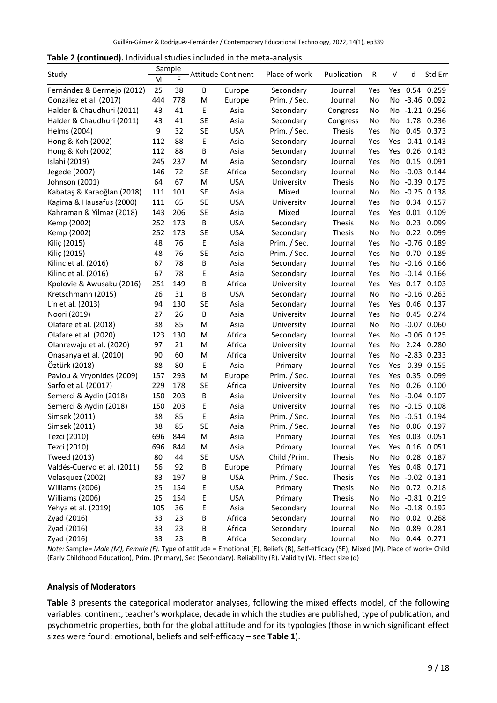| Table 2 (continued). Individual studies included in the meta-analysis |  |  |  |  |  |  |
|-----------------------------------------------------------------------|--|--|--|--|--|--|
|-----------------------------------------------------------------------|--|--|--|--|--|--|

|                             | Sample |     | <b>Attitude Continent</b> |            | Place of work | Publication   |     |     |      |                 |  |
|-----------------------------|--------|-----|---------------------------|------------|---------------|---------------|-----|-----|------|-----------------|--|
| Study                       | M      | F   |                           |            |               |               | R   | V   | d    | Std Err         |  |
| Fernández & Bermejo (2012)  | 25     | 38  | B                         | Europe     | Secondary     | Journal       | Yes |     |      | Yes 0.54 0.259  |  |
| González et al. (2017)      | 444    | 778 | M                         | Europe     | Prim. / Sec.  | Journal       | No  |     |      | No -3.46 0.092  |  |
| Halder & Chaudhuri (2011)   | 43     | 41  | E                         | Asia       | Secondary     | Congress      | No  |     |      | No -1.21 0.256  |  |
| Halder & Chaudhuri (2011)   | 43     | 41  | <b>SE</b>                 | Asia       | Secondary     | Congress      | No  | No  | 1.78 | 0.236           |  |
| Helms (2004)                | 9      | 32  | <b>SE</b>                 | <b>USA</b> | Prim. / Sec.  | Thesis        | Yes | No  |      | 0.45 0.373      |  |
| Hong & Koh (2002)           | 112    | 88  | E                         | Asia       | Secondary     | Journal       | Yes | Yes |      | $-0.41$ $0.143$ |  |
| Hong & Koh (2002)           | 112    | 88  | B                         | Asia       | Secondary     | Journal       | Yes | Yes |      | $0.26$ $0.143$  |  |
| Islahi (2019)               | 245    | 237 | M                         | Asia       | Secondary     | Journal       | Yes | No  |      | 0.15 0.091      |  |
| Jegede (2007)               | 146    | 72  | <b>SE</b>                 | Africa     | Secondary     | Journal       | No  | No  |      | $-0.03$ $0.144$ |  |
| Johnson (2001)              | 64     | 67  | M                         | <b>USA</b> | University    | <b>Thesis</b> | No  | No  |      | $-0.39$ $0.175$ |  |
| Kabataş & Karaoğlan (2018)  | 111    | 101 | <b>SE</b>                 | Asia       | Mixed         | Journal       | No  | No  |      | $-0.25$ $0.138$ |  |
| Kagima & Hausafus (2000)    | 111    | 65  | <b>SE</b>                 | <b>USA</b> | University    | Journal       | Yes | No  |      | 0.34 0.157      |  |
| Kahraman & Yilmaz (2018)    | 143    | 206 | <b>SE</b>                 | Asia       | Mixed         | Journal       | Yes | Yes |      | $0.01$ $0.109$  |  |
| Kemp (2002)                 | 252    | 173 | B                         | <b>USA</b> | Secondary     | <b>Thesis</b> | No  | No  |      | 0.23 0.099      |  |
| Kemp (2002)                 | 252    | 173 | <b>SE</b>                 | <b>USA</b> | Secondary     | <b>Thesis</b> | No  | No  |      | 0.22 0.099      |  |
| Kiliç (2015)                | 48     | 76  | Ε                         | Asia       | Prim. / Sec.  | Journal       | Yes | No  |      | $-0.76$ $0.189$ |  |
| Kiliç (2015)                | 48     | 76  | <b>SE</b>                 | Asia       | Prim. / Sec.  | Journal       | Yes | No  |      | 0.70 0.189      |  |
| Kilinc et al. (2016)        | 67     | 78  | В                         | Asia       | Secondary     | Journal       | Yes | No  |      | $-0.16$ $0.166$ |  |
| Kilinc et al. (2016)        | 67     | 78  | Ε                         | Asia       | Secondary     | Journal       | Yes | No  |      | $-0.14$ $0.166$ |  |
| Kpolovie & Awusaku (2016)   | 251    | 149 | B                         | Africa     | University    | Journal       | Yes | Yes |      | $0.17$ $0.103$  |  |
| Kretschmann (2015)          | 26     | 31  | В                         | <b>USA</b> | Secondary     | Journal       | No  | No  |      | $-0.16$ $0.263$ |  |
| Lin et al. (2013)           | 94     | 130 | <b>SE</b>                 | Asia       | Secondary     | Journal       | Yes | Yes |      | 0.46 0.137      |  |
| Noori (2019)                | 27     | 26  | B                         | Asia       | University    | Journal       | Yes | No  |      | 0.45 0.274      |  |
| Olafare et al. (2018)       | 38     | 85  | M                         | Asia       | University    | Journal       | No  | No  |      | $-0.07$ $0.060$ |  |
| Olafare et al. (2020)       | 123    | 130 | M                         | Africa     | Secondary     | Journal       | Yes | No  |      | $-0.06$ $0.125$ |  |
| Olanrewaju et al. (2020)    | 97     | 21  | M                         | Africa     | University    | Journal       | Yes | No  |      | 2.24 0.280      |  |
| Onasanya et al. (2010)      | 90     | 60  | M                         | Africa     | University    | Journal       | Yes | No  |      | $-2.83$ 0.233   |  |
| Öztürk (2018)               | 88     | 80  | Ε                         | Asia       | Primary       | Journal       | Yes |     |      | Yes -0.39 0.155 |  |
| Pavlou & Vryonides (2009)   | 157    | 293 | M                         | Europe     | Prim. / Sec.  | Journal       | Yes | Yes |      | 0.35 0.099      |  |
| Sarfo et al. (20017)        | 229    | 178 | <b>SE</b>                 | Africa     | University    | Journal       | Yes | No  | 0.26 | 0.100           |  |
| Semerci & Aydin (2018)      | 150    | 203 | B                         | Asia       | University    | Journal       | Yes | No  |      | $-0.04$ $0.107$ |  |
| Semerci & Aydin (2018)      | 150    | 203 | Ε                         | Asia       | University    | Journal       | Yes | No  |      | $-0.15$ $0.108$ |  |
| Simsek (2011)               | 38     | 85  | E                         | Asia       | Prim. / Sec.  | Journal       | Yes | No  |      | $-0.51$ $0.194$ |  |
| Simsek (2011)               | 38     | 85  | <b>SE</b>                 | Asia       | Prim. / Sec.  | Journal       | Yes | No  |      | 0.06 0.197      |  |
| Tezci (2010)                | 696    | 844 | M                         | Asia       | Primary       | Journal       | Yes | Yes | 0.03 | 0.051           |  |
| Tezci (2010)                | 696    | 844 | M                         | Asia       | Primary       | Journal       | Yes |     |      | Yes 0.16 0.051  |  |
| Tweed (2013)                | 80     | 44  | SE                        | <b>USA</b> | Child / Prim. | Thesis        | No  | No  |      | 0.28 0.187      |  |
| Valdés-Cuervo et al. (2011) | 56     | 92  | В                         | Europe     | Primary       | Journal       | Yes |     |      | Yes 0.48 0.171  |  |
| Velasquez (2002)            | 83     | 197 | В                         | <b>USA</b> | Prim. / Sec.  | Thesis        | Yes |     |      | No -0.02 0.131  |  |
| Williams (2006)             | 25     | 154 | E                         | <b>USA</b> | Primary       | Thesis        | No  | No  |      | 0.72 0.218      |  |
| Williams (2006)             | 25     | 154 | E                         | <b>USA</b> | Primary       | Thesis        | No  |     |      | No -0.81 0.219  |  |
| Yehya et al. (2019)         | 105    | 36  | E                         | Asia       | Secondary     | Journal       | No  |     |      | No -0.18 0.192  |  |
| Zyad (2016)                 | 33     | 23  | В                         | Africa     | Secondary     | Journal       | No  | No  |      | $0.02$ 0.268    |  |
| Zyad (2016)                 | 33     | 23  | В                         | Africa     | Secondary     | Journal       | No  | No  |      | 0.89 0.281      |  |
| Zyad (2016)                 | 33     | 23  | B                         | Africa     | Secondary     | Journal       | No  |     |      | No 0.44 0.271   |  |

*Note:* Sample*= Male (M), Female (F).* Type of attitude = Emotional (E), Beliefs (B), Self-efficacy (SE), Mixed (M). Place of work= Child (Early Childhood Education), Prim. (Primary), Sec (Secondary). Reliability (R). Validity (V). Effect size (d)

#### **Analysis of Moderators**

**Table 3** presents the categorical moderator analyses, following the mixed effects model, of the following variables: continent, teacher's workplace, decade in which the studies are published, type of publication, and psychometric properties, both for the global attitude and for its typologies (those in which significant effect sizes were found: emotional, beliefs and self-efficacy – see **Table 1**).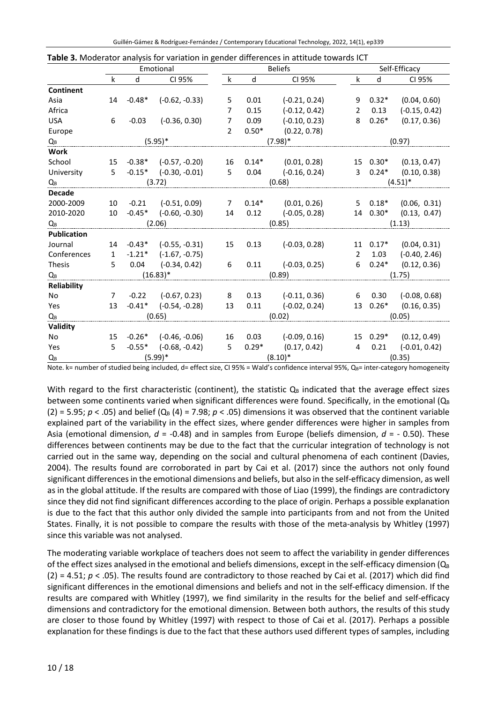|                    | Emotional    |          |                           |                |         | <b>Beliefs</b>         |                | Self-Efficacy  |                         |  |
|--------------------|--------------|----------|---------------------------|----------------|---------|------------------------|----------------|----------------|-------------------------|--|
|                    | $\mathsf k$  | d        | CI 95%                    | $\mathsf k$    | d       | CI 95%                 | k              | d              | CI 95%                  |  |
| <b>Continent</b>   |              |          |                           |                |         |                        |                |                |                         |  |
| Asia               | 14           | $-0.48*$ | $(-0.62, -0.33)$          | 5              | 0.01    | $(-0.21, 0.24)$        | 9              | $0.32*$        | (0.04, 0.60)            |  |
| Africa             |              |          |                           | 7              | 0.15    | $(-0.12, 0.42)$        | 2              | 0.13           | $(-0.15, 0.42)$         |  |
| <b>USA</b>         | 6            | $-0.03$  | $(-0.36, 0.30)$           | $\overline{7}$ | 0.09    | $(-0.10, 0.23)$        | 8              | $0.26*$        | (0.17, 0.36)            |  |
| Europe             |              |          |                           | $\mathcal{P}$  | $0.50*$ | (0.22, 0.78)           |                |                |                         |  |
| Qв                 |              |          | $(5.95)^*$                |                |         | $(7.98)$ *             |                |                | (0.97)                  |  |
| <b>Work</b>        |              |          |                           |                |         |                        |                |                |                         |  |
| School             | 15           |          | $-0.38*$ $(-0.57, -0.20)$ | 16             | $0.14*$ | (0.01, 0.28)           |                | 15 0.30*       | (0.13, 0.47)            |  |
| University         | $5 -$        |          | $-0.15*$ $(-0.30, -0.01)$ | 5              | 0.04    | $(-0.16, 0.24)$        |                | $3\quad 0.24*$ | (0.10, 0.38)            |  |
| $Q_B$              |              |          | (3.72)                    |                |         | (0.68)                 |                |                | $(4.51)^*$              |  |
| <b>Decade</b>      |              |          |                           |                |         |                        |                |                |                         |  |
| 2000-2009          | 10           | $-0.21$  | $(-0.51, 0.09)$           | $\overline{7}$ |         | $0.14*$ (0.01, 0.26)   | 5              | $0.18*$        | (0.06, 0.31)            |  |
| 2010-2020          | 10           |          | $-0.45*$ $(-0.60, -0.30)$ | 14             | 0.12    | $(-0.05, 0.28)$        |                |                | 14 $0.30*$ (0.13, 0.47) |  |
| $Q_B$              |              |          | (2.06)                    |                |         | (0.85)                 |                |                | (1.13)                  |  |
| <b>Publication</b> |              |          |                           |                |         |                        |                |                |                         |  |
| Journal            | 14           |          | $-0.43*$ $(-0.55, -0.31)$ | 15             | 0.13    | $(-0.03, 0.28)$        |                | $11 \t 0.17*$  | (0.04, 0.31)            |  |
| Conferences        | $\mathbf{1}$ | $-1.21*$ | $(-1.67, -0.75)$          |                |         |                        | 2              | 1.03           | $(-0.40, 2.46)$         |  |
| <b>Thesis</b>      | 5            | 0.04     | (-0.34, 0.42)             | 6              | 0.11    | $(-0.03, 0.25)$        | 6              | $0.24*$        | (0.12, 0.36)            |  |
| QB                 |              |          | $(16.83)^*$               |                |         | (0.89)                 |                |                | (1.75)                  |  |
| Reliability        |              |          |                           |                |         |                        |                |                |                         |  |
| No                 | 7            | $-0.22$  | $(-0.67, 0.23)$           | 8              |         | $0.13$ $(-0.11, 0.36)$ | 6              | 0.30           | $(-0.08, 0.68)$         |  |
| Yes                | 13           |          | $-0.41*$ $(-0.54, -0.28)$ | 13             | 0.11    | $(-0.02, 0.24)$        |                | 13 0.26*       | (0.16, 0.35)            |  |
| QB                 |              |          | (0.65)                    |                |         | (0.02)                 |                | (0.05)         |                         |  |
| Validity           |              |          |                           |                |         |                        |                |                |                         |  |
| No                 | 15           |          | $-0.26*$ $(-0.46, -0.06)$ | 16             | 0.03    | $(-0.09, 0.16)$        |                | $15 \t0.29*$   | (0.12, 0.49)            |  |
| Yes                | 5            | $-0.55*$ | $(-0.68, -0.42)$          | 5              | $0.29*$ | (0.17, 0.42)           | $\overline{4}$ | 0.21           | $(-0.01, 0.42)$         |  |
| QB                 |              |          | $(5.99)*$                 |                |         | $(8.10)*$              |                | (0.35)         |                         |  |

Note. k= number of studied being included, d= effect size, CI 95% = Wald's confidence interval 95%, Q<sub>B</sub>= inter-category homogeneity

With regard to the first characteristic (continent), the statistic  $Q_B$  indicated that the average effect sizes between some continents varied when significant differences were found. Specifically, in the emotional  $(Q_B)$  $(2)$  = 5.95;  $p < .05$ ) and belief  $(Q_B (4) = 7.98; p < .05)$  dimensions it was observed that the continent variable explained part of the variability in the effect sizes, where gender differences were higher in samples from Asia (emotional dimension, *d* = -0.48) and in samples from Europe (beliefs dimension, *d* = - 0.50). These differences between continents may be due to the fact that the curricular integration of technology is not carried out in the same way, depending on the social and cultural phenomena of each continent (Davies, 2004). The results found are corroborated in part by Cai et al. (2017) since the authors not only found significant differences in the emotional dimensions and beliefs, but also in the self-efficacy dimension, as well as in the global attitude. If the results are compared with those of Liao (1999), the findings are contradictory since they did not find significant differences according to the place of origin. Perhaps a possible explanation is due to the fact that this author only divided the sample into participants from and not from the United States. Finally, it is not possible to compare the results with those of the meta-analysis by Whitley (1997) since this variable was not analysed.

The moderating variable workplace of teachers does not seem to affect the variability in gender differences of the effect sizes analysed in the emotional and beliefs dimensions, except in the self-efficacy dimension ( $Q_B$ )  $(2) = 4.51$ ;  $p < .05$ ). The results found are contradictory to those reached by Cai et al. (2017) which did find significant differences in the emotional dimensions and beliefs and not in the self-efficacy dimension. If the results are compared with Whitley (1997), we find similarity in the results for the belief and self-efficacy dimensions and contradictory for the emotional dimension. Between both authors, the results of this study are closer to those found by Whitley (1997) with respect to those of Cai et al. (2017). Perhaps a possible explanation for these findings is due to the fact that these authors used different types of samples, including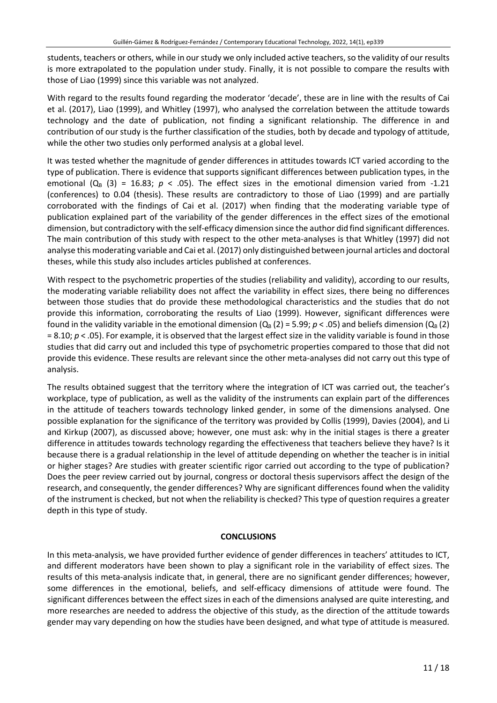students, teachers or others, while in our study we only included active teachers, so the validity of our results is more extrapolated to the population under study. Finally, it is not possible to compare the results with those of Liao (1999) since this variable was not analyzed.

With regard to the results found regarding the moderator 'decade', these are in line with the results of Cai et al. (2017), Liao (1999), and Whitley (1997), who analysed the correlation between the attitude towards technology and the date of publication, not finding a significant relationship. The difference in and contribution of our study is the further classification of the studies, both by decade and typology of attitude, while the other two studies only performed analysis at a global level.

It was tested whether the magnitude of gender differences in attitudes towards ICT varied according to the type of publication. There is evidence that supports significant differences between publication types, in the emotional  $(Q_B (3) = 16.83; p < .05)$ . The effect sizes in the emotional dimension varied from -1.21 (conferences) to 0.04 (thesis). These results are contradictory to those of Liao (1999) and are partially corroborated with the findings of Cai et al. (2017) when finding that the moderating variable type of publication explained part of the variability of the gender differences in the effect sizes of the emotional dimension, but contradictory with the self-efficacy dimension since the author did find significant differences. The main contribution of this study with respect to the other meta-analyses is that Whitley (1997) did not analyse this moderating variable and Cai et al. (2017) only distinguished between journal articles and doctoral theses, while this study also includes articles published at conferences.

With respect to the psychometric properties of the studies (reliability and validity), according to our results, the moderating variable reliability does not affect the variability in effect sizes, there being no differences between those studies that do provide these methodological characteristics and the studies that do not provide this information, corroborating the results of Liao (1999). However, significant differences were found in the validity variable in the emotional dimension  $(Q_B (2) = 5.99; p < .05)$  and beliefs dimension  $(Q_B (2)$ = 8.10; *p* < .05). For example, it is observed that the largest effect size in the validity variable is found in those studies that did carry out and included this type of psychometric properties compared to those that did not provide this evidence. These results are relevant since the other meta-analyses did not carry out this type of analysis.

The results obtained suggest that the territory where the integration of ICT was carried out, the teacher's workplace, type of publication, as well as the validity of the instruments can explain part of the differences in the attitude of teachers towards technology linked gender, in some of the dimensions analysed. One possible explanation for the significance of the territory was provided by Collis (1999), Davies (2004), and Li and Kirkup (2007), as discussed above; however, one must ask: why in the initial stages is there a greater difference in attitudes towards technology regarding the effectiveness that teachers believe they have? Is it because there is a gradual relationship in the level of attitude depending on whether the teacher is in initial or higher stages? Are studies with greater scientific rigor carried out according to the type of publication? Does the peer review carried out by journal, congress or doctoral thesis supervisors affect the design of the research, and consequently, the gender differences? Why are significant differences found when the validity of the instrument is checked, but not when the reliability is checked? This type of question requires a greater depth in this type of study.

#### **CONCLUSIONS**

In this meta-analysis, we have provided further evidence of gender differences in teachers' attitudes to ICT, and different moderators have been shown to play a significant role in the variability of effect sizes. The results of this meta-analysis indicate that, in general, there are no significant gender differences; however, some differences in the emotional, beliefs, and self-efficacy dimensions of attitude were found. The significant differences between the effect sizes in each of the dimensions analysed are quite interesting, and more researches are needed to address the objective of this study, as the direction of the attitude towards gender may vary depending on how the studies have been designed, and what type of attitude is measured.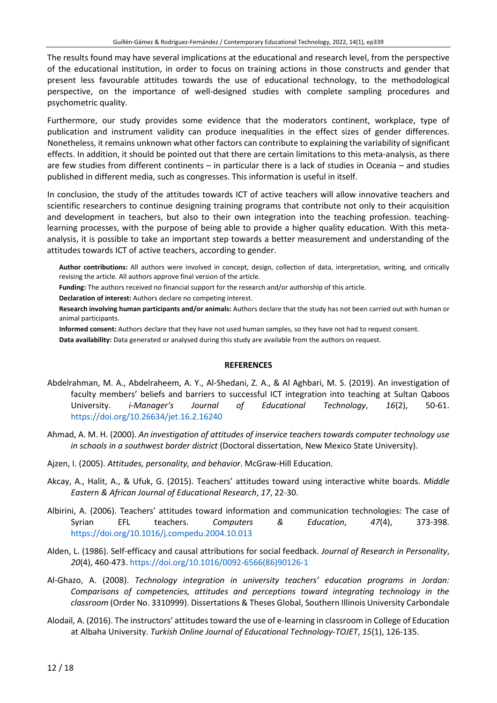The results found may have several implications at the educational and research level, from the perspective of the educational institution, in order to focus on training actions in those constructs and gender that present less favourable attitudes towards the use of educational technology, to the methodological perspective, on the importance of well-designed studies with complete sampling procedures and psychometric quality.

Furthermore, our study provides some evidence that the moderators continent, workplace, type of publication and instrument validity can produce inequalities in the effect sizes of gender differences. Nonetheless, it remains unknown what other factors can contribute to explaining the variability of significant effects. In addition, it should be pointed out that there are certain limitations to this meta-analysis, as there are few studies from different continents – in particular there is a lack of studies in Oceania – and studies published in different media, such as congresses. This information is useful in itself.

In conclusion, the study of the attitudes towards ICT of active teachers will allow innovative teachers and scientific researchers to continue designing training programs that contribute not only to their acquisition and development in teachers, but also to their own integration into the teaching profession. teachinglearning processes, with the purpose of being able to provide a higher quality education. With this metaanalysis, it is possible to take an important step towards a better measurement and understanding of the attitudes towards ICT of active teachers, according to gender.

**Author contributions:** All authors were involved in concept, design, collection of data, interpretation, writing, and critically revising the article. All authors approve final version of the article.

- **Funding:** The authors received no financial support for the research and/or authorship of this article.
- **Declaration of interest:** Authors declare no competing interest.
- **Research involving human participants and/or animals:** Authors declare that the study has not been carried out with human or animal participants.
- **Informed consent:** Authors declare that they have not used human samples, so they have not had to request consent.

**Data availability:** Data generated or analysed during this study are available from the authors on request.

#### **REFERENCES**

- Abdelrahman, M. A., Abdelraheem, A. Y., Al-Shedani, Z. A., & Al Aghbari, M. S. (2019). An investigation of faculty members' beliefs and barriers to successful ICT integration into teaching at Sultan Qaboos University. *i-Manager's Journal of Educational Technology*, *16*(2), 50-61. <https://doi.org/10.26634/jet.16.2.16240>
- Ahmad, A. M. H. (2000). *An investigation of attitudes of inservice teachers towards computer technology use in schools in a southwest border district* (Doctoral dissertation, New Mexico State University).
- Ajzen, I. (2005). *Attitudes, personality, and behavior*. McGraw-Hill Education.
- Akcay, A., Halit, A., & Ufuk, G. (2015). Teachers' attitudes toward using interactive white boards. *Middle Eastern & African Journal of Educational Research*, *17*, 22-30.
- Albirini, A. (2006). Teachers' attitudes toward information and communication technologies: The case of Syrian EFL teachers. *Computers & Education*, *47*(4), 373-398. <https://doi.org/10.1016/j.compedu.2004.10.013>
- Alden, L. (1986). Self-efficacy and causal attributions for social feedback. *Journal of Research in Personality*, *20*(4), 460-473. [https://doi.org/10.1016/0092-6566\(86\)90126-1](https://doi.org/10.1016/0092-6566(86)90126-1)
- Al-Ghazo, A. (2008). *Technology integration in university teachers' education programs in Jordan: Comparisons of competencies, attitudes and perceptions toward integrating technology in the classroom* (Order No. 3310999). Dissertations & Theses Global, Southern Illinois University Carbondale
- Alodail, A. (2016). The instructors' attitudes toward the use of e-learning in classroom in College of Education at Albaha University. *Turkish Online Journal of Educational Technology-TOJET*, *15*(1), 126-135.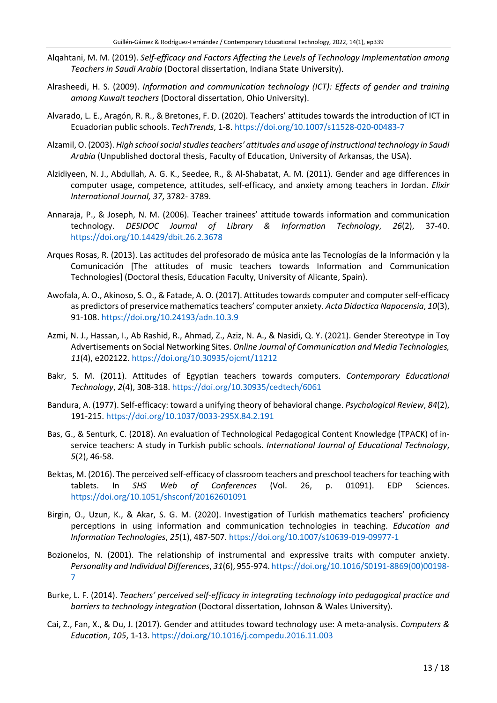- Alqahtani, M. M. (2019). *Self-efficacy and Factors Affecting the Levels of Technology Implementation among Teachers in Saudi Arabia* (Doctoral dissertation, Indiana State University).
- Alrasheedi, H. S. (2009). *Information and communication technology (ICT): Effects of gender and training among Kuwait teachers* (Doctoral dissertation, Ohio University).
- Alvarado, L. E., Aragón, R. R., & Bretones, F. D. (2020). Teachers' attitudes towards the introduction of ICT in Ecuadorian public schools. *TechTrends*, 1-8. <https://doi.org/10.1007/s11528-020-00483-7>
- Alzamil, O. (2003). *High schoolsocialstudiesteachers' attitudes and usage of instructional technology in Saudi Arabia* (Unpublished doctoral thesis, Faculty of Education, University of Arkansas, the USA).
- Alzidiyeen, N. J., Abdullah, A. G. K., Seedee, R., & Al-Shabatat, A. M. (2011). Gender and age differences in computer usage, competence, attitudes, self-efficacy, and anxiety among teachers in Jordan. *Elixir International Journal, 37*, 3782- 3789.
- Annaraja, P., & Joseph, N. M. (2006). Teacher trainees' attitude towards information and communication technology. *DESIDOC Journal of Library & Information Technology*, *26*(2), 37-40. <https://doi.org/10.14429/dbit.26.2.3678>
- Arques Rosas, R. (2013). Las actitudes del profesorado de música ante las Tecnologías de la Información y la Comunicación [The attitudes of music teachers towards Information and Communication Technologies] (Doctoral thesis, Education Faculty, University of Alicante, Spain).
- Awofala, A. O., Akinoso, S. O., & Fatade, A. O. (2017). Attitudes towards computer and computerself-efficacy as predictors of preservice mathematicsteachers' computer anxiety. *Acta Didactica Napocensia*, *10*(3), 91-108. <https://doi.org/10.24193/adn.10.3.9>
- Azmi, N. J., Hassan, I., Ab Rashid, R., Ahmad, Z., Aziz, N. A., & Nasidi, Q. Y. (2021). Gender Stereotype in Toy Advertisements on Social Networking Sites. *Online Journal of Communication and Media Technologies, 11*(4), e202122. <https://doi.org/10.30935/ojcmt/11212>
- Bakr, S. M. (2011). Attitudes of Egyptian teachers towards computers. *Contemporary Educational Technology*, *2*(4), 308-318. <https://doi.org/10.30935/cedtech/6061>
- Bandura, A. (1977). Self-efficacy: toward a unifying theory of behavioral change. *Psychological Review*, *84*(2), 191-215. <https://doi.org/10.1037/0033-295X.84.2.191>
- Bas, G., & Senturk, C. (2018). An evaluation of Technological Pedagogical Content Knowledge (TPACK) of inservice teachers: A study in Turkish public schools. *International Journal of Educational Technology*, *5*(2), 46-58.
- Bektas, M. (2016). The perceived self-efficacy of classroom teachers and preschool teachers for teaching with tablets. In *SHS Web of Conferences* (Vol. 26, p. 01091). EDP Sciences. <https://doi.org/10.1051/shsconf/20162601091>
- Birgin, O., Uzun, K., & Akar, S. G. M. (2020). Investigation of Turkish mathematics teachers' proficiency perceptions in using information and communication technologies in teaching. *Education and Information Technologies*, *25*(1), 487-507. <https://doi.org/10.1007/s10639-019-09977-1>
- Bozionelos, N. (2001). The relationship of instrumental and expressive traits with computer anxiety. *Personality and Individual Differences*, *31*(6), 955-974. [https://doi.org/10.1016/S0191-8869\(00\)00198-](https://doi.org/10.1016/S0191-8869(00)00198-7) [7](https://doi.org/10.1016/S0191-8869(00)00198-7)
- Burke, L. F. (2014). *Teachers' perceived self-efficacy in integrating technology into pedagogical practice and barriers to technology integration* (Doctoral dissertation, Johnson & Wales University).
- Cai, Z., Fan, X., & Du, J. (2017). Gender and attitudes toward technology use: A meta-analysis. *Computers & Education*, *105*, 1-13. <https://doi.org/10.1016/j.compedu.2016.11.003>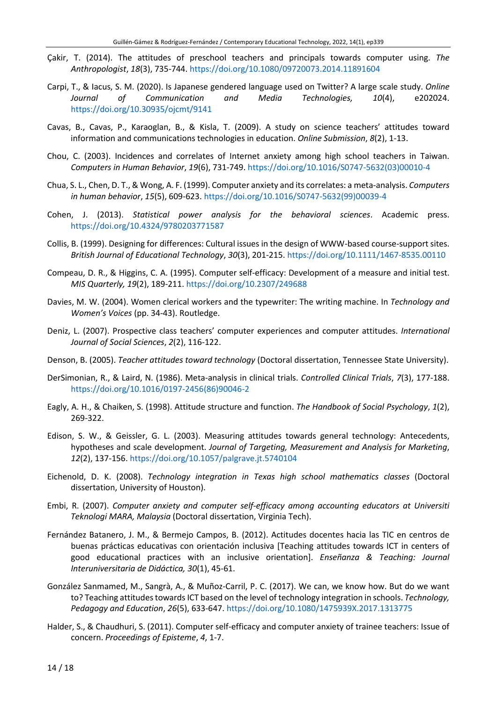- Çakir, T. (2014). The attitudes of preschool teachers and principals towards computer using. *The Anthropologist*, *18*(3), 735-744. <https://doi.org/10.1080/09720073.2014.11891604>
- Carpi, T., & Iacus, S. M. (2020). Is Japanese gendered language used on Twitter? A large scale study. *Online Journal of Communication and Media Technologies, 10*(4), e202024. <https://doi.org/10.30935/ojcmt/9141>
- Cavas, B., Cavas, P., Karaoglan, B., & Kisla, T. (2009). A study on science teachers' attitudes toward information and communications technologies in education. *Online Submission*, *8*(2), 1-13.
- Chou, C. (2003). Incidences and correlates of Internet anxiety among high school teachers in Taiwan. *Computers in Human Behavior*, *19*(6), 731-749. [https://doi.org/10.1016/S0747-5632\(03\)00010-4](https://doi.org/10.1016/S0747-5632(03)00010-4)
- Chua, S. L., Chen, D. T., & Wong, A. F. (1999). Computer anxiety and its correlates: a meta-analysis. *Computers in human behavior*, *15*(5), 609-623. [https://doi.org/10.1016/S0747-5632\(99\)00039-4](https://doi.org/10.1016/S0747-5632(99)00039-4)
- Cohen, J. (2013). *Statistical power analysis for the behavioral sciences*. Academic press. <https://doi.org/10.4324/9780203771587>
- Collis, B. (1999). Designing for differences: Cultural issues in the design of WWW-based course-support sites. *British Journal of Educational Technology*, *30*(3), 201-215. <https://doi.org/10.1111/1467-8535.00110>
- Compeau, D. R., & Higgins, C. A. (1995). Computer self-efficacy: Development of a measure and initial test. *MIS Quarterly, 19*(2), 189-211. <https://doi.org/10.2307/249688>
- Davies, M. W. (2004). Women clerical workers and the typewriter: The writing machine. In *Technology and Women's Voices* (pp. 34-43). Routledge.
- Deniz, L. (2007). Prospective class teachers' computer experiences and computer attitudes. *International Journal of Social Sciences*, *2*(2), 116-122.
- Denson, B. (2005). *Teacher attitudes toward technology* (Doctoral dissertation, Tennessee State University).
- DerSimonian, R., & Laird, N. (1986). Meta-analysis in clinical trials. *Controlled Clinical Trials*, *7*(3), 177-188. [https://doi.org/10.1016/0197-2456\(86\)90046-2](https://doi.org/10.1016/0197-2456(86)90046-2)
- Eagly, A. H., & Chaiken, S. (1998). Attitude structure and function. *The Handbook of Social Psychology*, *1*(2), 269-322.
- Edison, S. W., & Geissler, G. L. (2003). Measuring attitudes towards general technology: Antecedents, hypotheses and scale development. *Journal of Targeting, Measurement and Analysis for Marketing*, *12*(2), 137-156. <https://doi.org/10.1057/palgrave.jt.5740104>
- Eichenold, D. K. (2008). *Technology integration in Texas high school mathematics classes* (Doctoral dissertation, University of Houston).
- Embi, R. (2007). *Computer anxiety and computer self-efficacy among accounting educators at Universiti Teknologi MARA, Malaysia* (Doctoral dissertation, Virginia Tech).
- Fernández Batanero, J. M., & Bermejo Campos, B. (2012). Actitudes docentes hacia las TIC en centros de buenas prácticas educativas con orientación inclusiva [Teaching attitudes towards ICT in centers of good educational practices with an inclusive orientation]. *Enseñanza & Teaching: Journal Interuniversitaria de Didáctica, 30*(1), 45-61.
- González Sanmamed, M., Sangrà, A., & Muñoz-Carril, P. C. (2017). We can, we know how. But do we want to? Teaching attitudes towards ICT based on the level of technology integration in schools. *Technology*, *Pedagogy and Education*, *26*(5), 633-647. <https://doi.org/10.1080/1475939X.2017.1313775>
- Halder, S., & Chaudhuri, S. (2011). Computer self-efficacy and computer anxiety of trainee teachers: Issue of concern. *Proceedings of Episteme*, *4*, 1-7.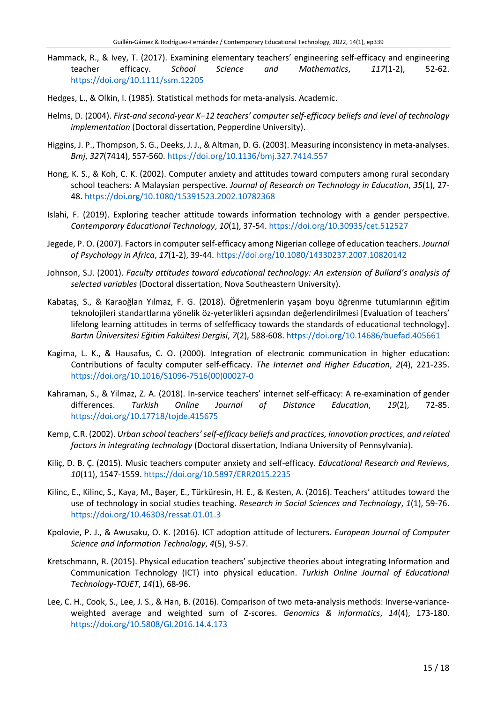- Hammack, R., & Ivey, T. (2017). Examining elementary teachers' engineering self-efficacy and engineering teacher efficacy. *School Science and Mathematics*, *117*(1-2), 52-62. <https://doi.org/10.1111/ssm.12205>
- Hedges, L., & Olkin, I. (1985). Statistical methods for meta-analysis. Academic.
- Helms, D. (2004). *First-and second-year K–12 teachers' computer self-efficacy beliefs and level of technology implementation* (Doctoral dissertation, Pepperdine University).
- Higgins, J. P., Thompson, S. G., Deeks, J. J., & Altman, D. G. (2003). Measuring inconsistency in meta-analyses. *Bmj*, *327*(7414), 557-560. <https://doi.org/10.1136/bmj.327.7414.557>
- Hong, K. S., & Koh, C. K. (2002). Computer anxiety and attitudes toward computers among rural secondary school teachers: A Malaysian perspective. *Journal of Research on Technology in Education*, *35*(1), 27- 48. <https://doi.org/10.1080/15391523.2002.10782368>
- Islahi, F. (2019). Exploring teacher attitude towards information technology with a gender perspective. *Contemporary Educational Technology*, *10*(1), 37-54. <https://doi.org/10.30935/cet.512527>
- Jegede, P. O. (2007). Factors in computer self-efficacy among Nigerian college of education teachers. *Journal of Psychology in Africa*, *17*(1-2), 39-44. <https://doi.org/10.1080/14330237.2007.10820142>
- Johnson, S.J. (2001). *Faculty attitudes toward educational technology: An extension of Bullard's analysis of selected variables* (Doctoral dissertation, Nova Southeastern University).
- Kabataş, S., & Karaoğlan Yılmaz, F. G. (2018). Öğretmenlerin yaşam boyu öğrenme tutumlarının eğitim teknolojileri standartlarına yönelik öz-yeterlikleri açısından değerlendirilmesi [Evaluation of teachers' lifelong learning attitudes in terms of selfefficacy towards the standards of educational technology]. *Bartın Üniversitesi Eğitim Fakültesi Dergisi*, *7*(2), 588-608. <https://doi.org/10.14686/buefad.405661>
- Kagima, L. K., & Hausafus, C. O. (2000). Integration of electronic communication in higher education: Contributions of faculty computer self-efficacy. *The Internet and Higher Education*, *2*(4), 221-235. [https://doi.org/10.1016/S1096-7516\(00\)00027-0](https://doi.org/10.1016/S1096-7516(00)00027-0)
- Kahraman, S., & Yilmaz, Z. A. (2018). In-service teachers' internet self-efficacy: A re-examination of gender differences. *Turkish Online Journal of Distance Education*, *19*(2), 72-85. <https://doi.org/10.17718/tojde.415675>
- Kemp, C.R. (2002). *Urban school teachers' self-efficacy beliefs and practices, innovation practices, and related factors in integrating technology* (Doctoral dissertation, Indiana University of Pennsylvania).
- Kiliç, D. B. Ç. (2015). Music teachers computer anxiety and self-efficacy. *Educational Research and Reviews*, *10*(11), 1547-1559. <https://doi.org/10.5897/ERR2015.2235>
- Kilinc, E., Kilinc, S., Kaya, M., Başer, E., Türküresin, H. E., & Kesten, A. (2016). Teachers' attitudes toward the use of technology in social studies teaching. *Research in Social Sciences and Technology*, *1*(1), 59-76. <https://doi.org/10.46303/ressat.01.01.3>
- Kpolovie, P. J., & Awusaku, O. K. (2016). ICT adoption attitude of lecturers. *European Journal of Computer Science and Information Technology*, *4*(5), 9-57.
- Kretschmann, R. (2015). Physical education teachers' subjective theories about integrating Information and Communication Technology (ICT) into physical education. *Turkish Online Journal of Educational Technology-TOJET*, *14*(1), 68-96.
- Lee, C. H., Cook, S., Lee, J. S., & Han, B. (2016). Comparison of two meta-analysis methods: Inverse-varianceweighted average and weighted sum of Z-scores. *Genomics & informatics*, *14*(4), 173-180. <https://doi.org/10.5808/GI.2016.14.4.173>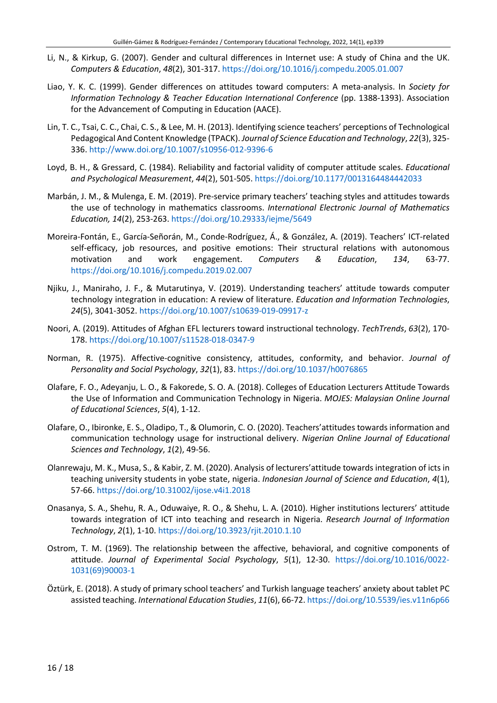- Li, N., & Kirkup, G. (2007). Gender and cultural differences in Internet use: A study of China and the UK. *Computers & Education*, *48*(2), 301-317. <https://doi.org/10.1016/j.compedu.2005.01.007>
- Liao, Y. K. C. (1999). Gender differences on attitudes toward computers: A meta-analysis. In *Society for Information Technology & Teacher Education International Conference* (pp. 1388-1393). Association for the Advancement of Computing in Education (AACE).
- Lin, T. C., Tsai, C. C., Chai, C. S., & Lee, M. H. (2013). Identifying science teachers' perceptions of Technological Pedagogical And Content Knowledge (TPACK). *Journal of Science Education and Technology*, *22*(3), 325- 336. <http://www.doi.org/10.1007/s10956-012-9396-6>
- Loyd, B. H., & Gressard, C. (1984). Reliability and factorial validity of computer attitude scales. *Educational and Psychological Measurement*, *44*(2), 501-505. <https://doi.org/10.1177/0013164484442033>
- Marbán, J. M., & Mulenga, E. M. (2019). Pre-service primary teachers' teaching styles and attitudes towards the use of technology in mathematics classrooms. *International Electronic Journal of Mathematics Education, 14*(2), 253-263. <https://doi.org/10.29333/iejme/5649>
- Moreira-Fontán, E., García-Señorán, M., Conde-Rodríguez, Á., & González, A. (2019). Teachers' ICT-related self-efficacy, job resources, and positive emotions: Their structural relations with autonomous motivation and work engagement. *Computers & Education*, *134*, 63-77. <https://doi.org/10.1016/j.compedu.2019.02.007>
- Njiku, J., Maniraho, J. F., & Mutarutinya, V. (2019). Understanding teachers' attitude towards computer technology integration in education: A review of literature. *Education and Information Technologies*, *24*(5), 3041-3052. <https://doi.org/10.1007/s10639-019-09917-z>
- Noori, A. (2019). Attitudes of Afghan EFL lecturers toward instructional technology. *TechTrends*, *63*(2), 170- 178. <https://doi.org/10.1007/s11528-018-0347-9>
- Norman, R. (1975). Affective-cognitive consistency, attitudes, conformity, and behavior. *Journal of Personality and Social Psychology*, *32*(1), 83. <https://doi.org/10.1037/h0076865>
- Olafare, F. O., Adeyanju, L. O., & Fakorede, S. O. A. (2018). Colleges of Education Lecturers Attitude Towards the Use of Information and Communication Technology in Nigeria. *MOJES: Malaysian Online Journal of Educational Sciences*, *5*(4), 1-12.
- Olafare, O., Ibironke, E. S., Oladipo, T., & Olumorin, C. O. (2020). Teachers'attitudes towards information and communication technology usage for instructional delivery. *Nigerian Online Journal of Educational Sciences and Technology*, *1*(2), 49-56.
- Olanrewaju, M. K., Musa, S., & Kabir, Z. M. (2020). Analysis of lecturers'attitude towards integration of icts in teaching university students in yobe state, nigeria. *Indonesian Journal of Science and Education*, *4*(1), 57-66. <https://doi.org/10.31002/ijose.v4i1.2018>
- Onasanya, S. A., Shehu, R. A., Oduwaiye, R. O., & Shehu, L. A. (2010). Higher institutions lecturers' attitude towards integration of ICT into teaching and research in Nigeria. *Research Journal of Information Technology*, *2*(1), 1-10. <https://doi.org/10.3923/rjit.2010.1.10>
- Ostrom, T. M. (1969). The relationship between the affective, behavioral, and cognitive components of attitude. *Journal of Experimental Social Psychology*, *5*(1), 12-30. [https://doi.org/10.1016/0022-](https://doi.org/10.1016/0022-1031(69)90003-1) [1031\(69\)90003-1](https://doi.org/10.1016/0022-1031(69)90003-1)
- Öztürk, E. (2018). A study of primary school teachers' and Turkish language teachers' anxiety about tablet PC assisted teaching. *International Education Studies*, *11*(6), 66-72. <https://doi.org/10.5539/ies.v11n6p66>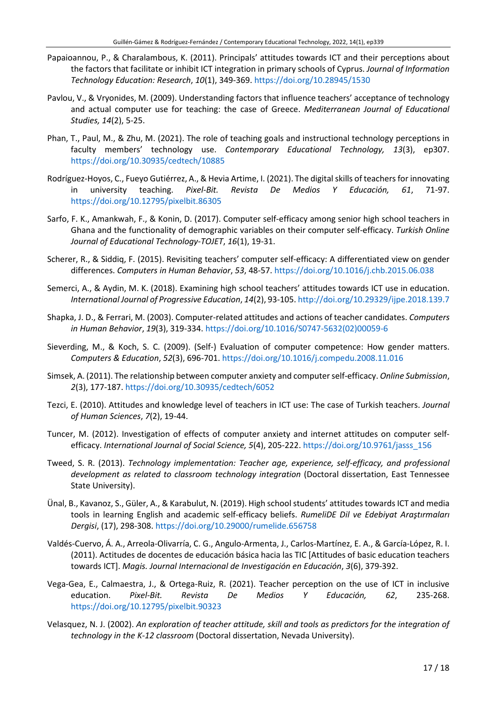- Papaioannou, P., & Charalambous, K. (2011). Principals' attitudes towards ICT and their perceptions about the factors that facilitate or inhibit ICT integration in primary schools of Cyprus. *Journal of Information Technology Education: Research*, *10*(1), 349-369. <https://doi.org/10.28945/1530>
- Pavlou, V., & Vryonides, M. (2009). Understanding factors that influence teachers' acceptance of technology and actual computer use for teaching: the case of Greece. *Mediterranean Journal of Educational Studies, 14*(2), 5-25.
- Phan, T., Paul, M., & Zhu, M. (2021). The role of teaching goals and instructional technology perceptions in faculty members' technology use. *Contemporary Educational Technology, 13*(3), ep307. <https://doi.org/10.30935/cedtech/10885>
- Rodríguez-Hoyos, C., Fueyo Gutiérrez, A., & Hevia Artime, I. (2021). The digital skills of teachers for innovating in university teaching. *Pixel-Bit. Revista De Medios Y Educación, 61*, 71-97. <https://doi.org/10.12795/pixelbit.86305>
- Sarfo, F. K., Amankwah, F., & Konin, D. (2017). Computer self-efficacy among senior high school teachers in Ghana and the functionality of demographic variables on their computer self-efficacy. *Turkish Online Journal of Educational Technology-TOJET*, *16*(1), 19-31.
- Scherer, R., & Siddiq, F. (2015). Revisiting teachers' computer self-efficacy: A differentiated view on gender differences. *Computers in Human Behavior*, *53*, 48-57. <https://doi.org/10.1016/j.chb.2015.06.038>
- Semerci, A., & Aydin, M. K. (2018). Examining high school teachers' attitudes towards ICT use in education. *International Journal of Progressive Education*, *14*(2), 93-105. <http://doi.org/10.29329/ijpe.2018.139.7>
- Shapka, J. D., & Ferrari, M. (2003). Computer-related attitudes and actions of teacher candidates. *Computers in Human Behavior*, *19*(3), 319-334. [https://doi.org/10.1016/S0747-5632\(02\)00059-6](https://doi.org/10.1016/S0747-5632(02)00059-6)
- Sieverding, M., & Koch, S. C. (2009). (Self-) Evaluation of computer competence: How gender matters. *Computers & Education*, *52*(3), 696-701. <https://doi.org/10.1016/j.compedu.2008.11.016>
- Simsek, A. (2011). The relationship between computer anxiety and computerself-efficacy. *Online Submission*, *2*(3), 177-187. <https://doi.org/10.30935/cedtech/6052>
- Tezci, E. (2010). Attitudes and knowledge level of teachers in ICT use: The case of Turkish teachers. *Journal of Human Sciences*, *7*(2), 19-44.
- Tuncer, M. (2012). Investigation of effects of computer anxiety and internet attitudes on computer selfefficacy. *International Journal of Social Science, 5*(4), 205-222. [https://doi.org/10.9761/jasss\\_156](https://doi.org/10.9761/jasss_156)
- Tweed, S. R. (2013). *Technology implementation: Teacher age, experience, self-efficacy, and professional development as related to classroom technology integration* (Doctoral dissertation, East Tennessee State University).
- Ünal, B., Kavanoz, S., Güler, A., & Karabulut, N. (2019). High school students' attitudes towardsICT and media tools in learning English and academic self-efficacy beliefs. *RumeliDE Dil ve Edebiyat Araştırmaları Dergisi*, (17), 298-308. <https://doi.org/10.29000/rumelide.656758>
- Valdés-Cuervo, Á. A., Arreola-Olivarría, C. G., Angulo-Armenta, J., Carlos-Martínez, E. A., & García-López, R. I. (2011). Actitudes de docentes de educación básica hacia las TIC [Attitudes of basic education teachers towards ICT]. *Magis. Journal Internacional de Investigación en Educación*, *3*(6), 379-392.
- Vega-Gea, E., Calmaestra, J., & Ortega-Ruiz, R. (2021). Teacher perception on the use of ICT in inclusive education. *Pixel-Bit. Revista De Medios Y Educación, 62*, 235-268. <https://doi.org/10.12795/pixelbit.90323>
- Velasquez, N. J. (2002). *An exploration of teacher attitude, skill and tools as predictors for the integration of technology in the K-12 classroom* (Doctoral dissertation, Nevada University).